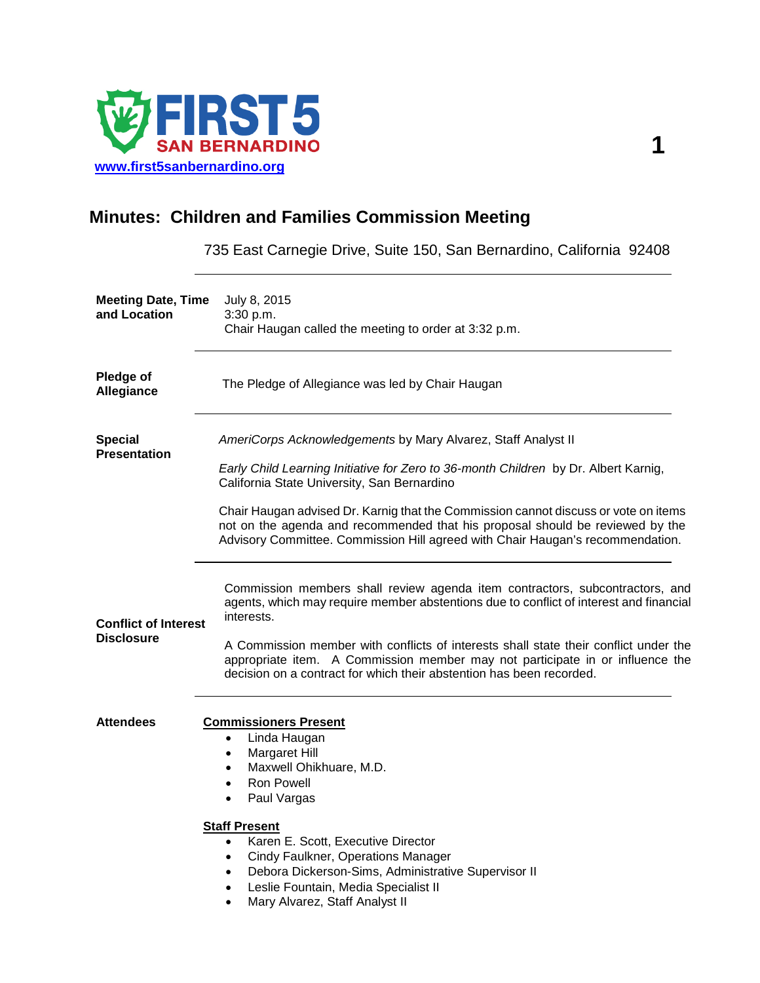

## **Minutes: Children and Families Commission Meeting**

735 East Carnegie Drive, Suite 150, San Bernardino, California 92408

| <b>Meeting Date, Time</b><br>and Location        | July 8, 2015<br>3:30 p.m.<br>Chair Haugan called the meeting to order at 3:32 p.m.                                                                                                                                                                                                                                                                                                                                                                            |
|--------------------------------------------------|---------------------------------------------------------------------------------------------------------------------------------------------------------------------------------------------------------------------------------------------------------------------------------------------------------------------------------------------------------------------------------------------------------------------------------------------------------------|
| <b>Pledge of</b><br>Allegiance                   | The Pledge of Allegiance was led by Chair Haugan                                                                                                                                                                                                                                                                                                                                                                                                              |
| <b>Special</b><br><b>Presentation</b>            | AmeriCorps Acknowledgements by Mary Alvarez, Staff Analyst II<br>Early Child Learning Initiative for Zero to 36-month Children by Dr. Albert Karnig,<br>California State University, San Bernardino<br>Chair Haugan advised Dr. Karnig that the Commission cannot discuss or vote on items<br>not on the agenda and recommended that his proposal should be reviewed by the<br>Advisory Committee. Commission Hill agreed with Chair Haugan's recommendation. |
| <b>Conflict of Interest</b><br><b>Disclosure</b> | Commission members shall review agenda item contractors, subcontractors, and<br>agents, which may require member abstentions due to conflict of interest and financial<br>interests.<br>A Commission member with conflicts of interests shall state their conflict under the<br>appropriate item. A Commission member may not participate in or influence the<br>decision on a contract for which their abstention has been recorded.                         |
| <b>Attendees</b>                                 | <b>Commissioners Present</b><br>Linda Haugan<br>٠<br><b>Margaret Hill</b><br>٠<br>Maxwell Ohikhuare, M.D.<br>٠<br><b>Ron Powell</b><br>Paul Vargas<br><b>Staff Present</b><br>Karen E. Scott, Executive Director<br>Cindy Faulkner, Operations Manager<br>Debora Dickerson-Sims, Administrative Supervisor II<br>Leslie Fountain, Media Specialist II<br>Mary Alvarez, Staff Analyst II                                                                       |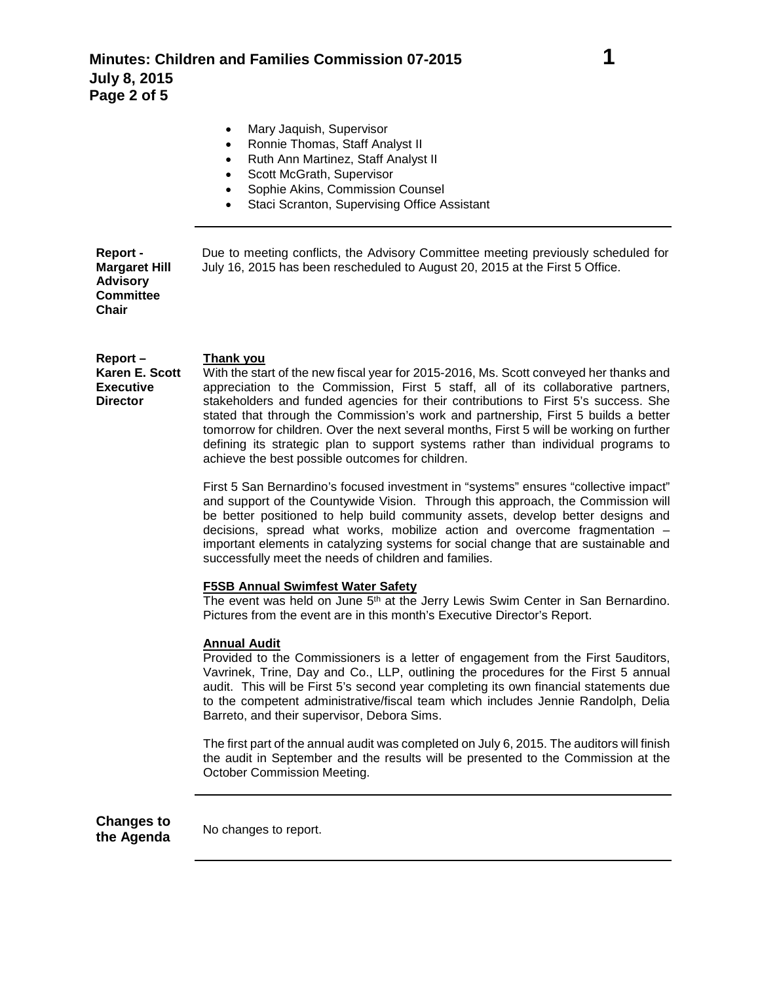|                                                                                  | Mary Jaquish, Supervisor<br>Ronnie Thomas, Staff Analyst II<br>$\bullet$<br>Ruth Ann Martinez, Staff Analyst II<br>Scott McGrath, Supervisor<br>Sophie Akins, Commission Counsel<br>Staci Scranton, Supervising Office Assistant                                               |
|----------------------------------------------------------------------------------|--------------------------------------------------------------------------------------------------------------------------------------------------------------------------------------------------------------------------------------------------------------------------------|
| Report -<br><b>Margaret Hill</b><br><b>Advisory</b><br><b>Committee</b><br>Chair | Due to meeting conflicts, the Advisory Committee meeting previously scheduled for<br>July 16, 2015 has been rescheduled to August 20, 2015 at the First 5 Office.                                                                                                              |
| $Report -$<br>Karen E. Scott<br><b>Executive</b><br><b>Director</b>              | Thank you<br>With the start of the new fiscal year for 2015-2016, Ms. Scott conveyed her thanks and<br>appreciation to the Commission, First 5 staff, all of its collaborative partners,<br>stakeholders and funded agencies for their contributions to First 5's success. She |

stated that through the Commission's work and partnership, First 5 builds a better tomorrow for children. Over the next several months, First 5 will be working on further defining its strategic plan to support systems rather than individual programs to achieve the best possible outcomes for children. First 5 San Bernardino's focused investment in "systems" ensures "collective impact"

and support of the Countywide Vision. Through this approach, the Commission will be better positioned to help build community assets, develop better designs and decisions, spread what works, mobilize action and overcome fragmentation – important elements in catalyzing systems for social change that are sustainable and successfully meet the needs of children and families.

## **F5SB Annual Swimfest Water Safety**

The event was held on June 5<sup>th</sup> at the Jerry Lewis Swim Center in San Bernardino. Pictures from the event are in this month's Executive Director's Report.

## **Annual Audit**

Provided to the Commissioners is a letter of engagement from the First 5auditors, Vavrinek, Trine, Day and Co., LLP, outlining the procedures for the First 5 annual audit. This will be First 5's second year completing its own financial statements due to the competent administrative/fiscal team which includes Jennie Randolph, Delia Barreto, and their supervisor, Debora Sims.

The first part of the annual audit was completed on July 6, 2015. The auditors will finish the audit in September and the results will be presented to the Commission at the October Commission Meeting.

**Changes to** 

**the Agenda** No changes to report.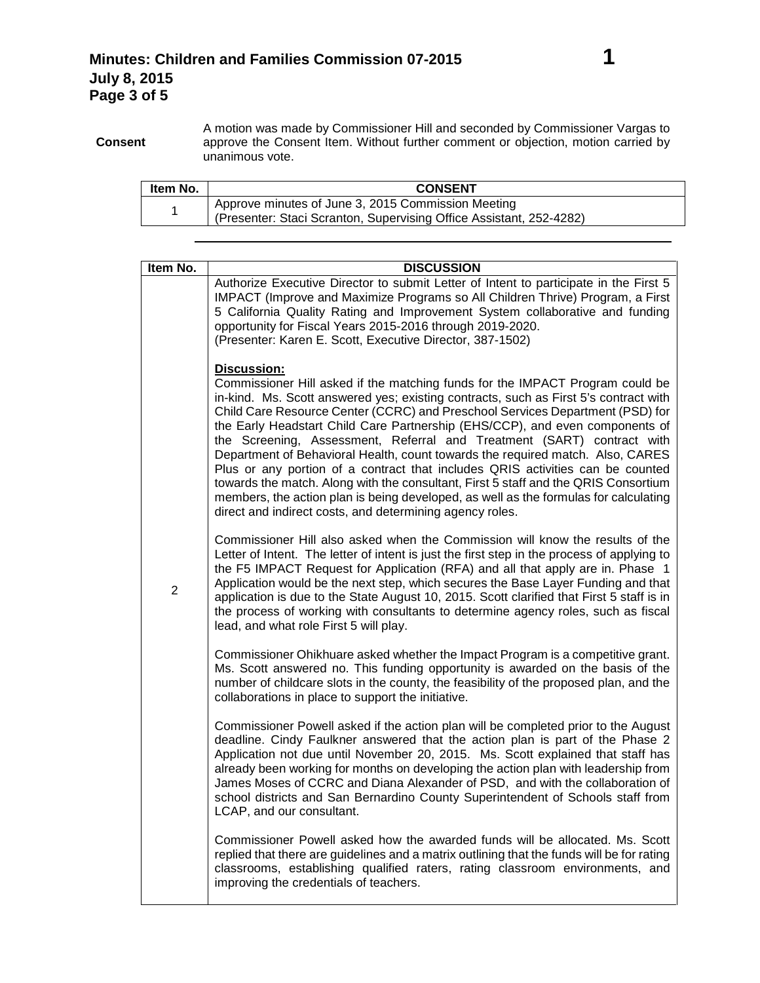**Consent** A motion was made by Commissioner Hill and seconded by Commissioner Vargas to approve the Consent Item. Without further comment or objection, motion carried by unanimous vote.

| Item No. | <b>CONSENT</b>                                                                                                            |
|----------|---------------------------------------------------------------------------------------------------------------------------|
|          | Approve minutes of June 3, 2015 Commission Meeting<br>(Presenter: Staci Scranton, Supervising Office Assistant, 252-4282) |

| Item No.       | <b>DISCUSSION</b>                                                                                                                                                                                                                                                                                                                                                                                                                                                                                                                                                                                                                                                                                                                                                                                                                                     |
|----------------|-------------------------------------------------------------------------------------------------------------------------------------------------------------------------------------------------------------------------------------------------------------------------------------------------------------------------------------------------------------------------------------------------------------------------------------------------------------------------------------------------------------------------------------------------------------------------------------------------------------------------------------------------------------------------------------------------------------------------------------------------------------------------------------------------------------------------------------------------------|
|                | Authorize Executive Director to submit Letter of Intent to participate in the First 5<br>IMPACT (Improve and Maximize Programs so All Children Thrive) Program, a First<br>5 California Quality Rating and Improvement System collaborative and funding<br>opportunity for Fiscal Years 2015-2016 through 2019-2020.<br>(Presenter: Karen E. Scott, Executive Director, 387-1502)                                                                                                                                                                                                                                                                                                                                                                                                                                                                     |
|                | <b>Discussion:</b><br>Commissioner Hill asked if the matching funds for the IMPACT Program could be<br>in-kind. Ms. Scott answered yes; existing contracts, such as First 5's contract with<br>Child Care Resource Center (CCRC) and Preschool Services Department (PSD) for<br>the Early Headstart Child Care Partnership (EHS/CCP), and even components of<br>the Screening, Assessment, Referral and Treatment (SART) contract with<br>Department of Behavioral Health, count towards the required match. Also, CARES<br>Plus or any portion of a contract that includes QRIS activities can be counted<br>towards the match. Along with the consultant, First 5 staff and the QRIS Consortium<br>members, the action plan is being developed, as well as the formulas for calculating<br>direct and indirect costs, and determining agency roles. |
| $\overline{2}$ | Commissioner Hill also asked when the Commission will know the results of the<br>Letter of Intent. The letter of intent is just the first step in the process of applying to<br>the F5 IMPACT Request for Application (RFA) and all that apply are in. Phase 1<br>Application would be the next step, which secures the Base Layer Funding and that<br>application is due to the State August 10, 2015. Scott clarified that First 5 staff is in<br>the process of working with consultants to determine agency roles, such as fiscal<br>lead, and what role First 5 will play.                                                                                                                                                                                                                                                                       |
|                | Commissioner Ohikhuare asked whether the Impact Program is a competitive grant.<br>Ms. Scott answered no. This funding opportunity is awarded on the basis of the<br>number of childcare slots in the county, the feasibility of the proposed plan, and the<br>collaborations in place to support the initiative.                                                                                                                                                                                                                                                                                                                                                                                                                                                                                                                                     |
|                | Commissioner Powell asked if the action plan will be completed prior to the August<br>deadline. Cindy Faulkner answered that the action plan is part of the Phase 2<br>Application not due until November 20, 2015. Ms. Scott explained that staff has<br>already been working for months on developing the action plan with leadership from<br>James Moses of CCRC and Diana Alexander of PSD, and with the collaboration of<br>school districts and San Bernardino County Superintendent of Schools staff from<br>LCAP, and our consultant.                                                                                                                                                                                                                                                                                                         |
|                | Commissioner Powell asked how the awarded funds will be allocated. Ms. Scott<br>replied that there are guidelines and a matrix outlining that the funds will be for rating<br>classrooms, establishing qualified raters, rating classroom environments, and<br>improving the credentials of teachers.                                                                                                                                                                                                                                                                                                                                                                                                                                                                                                                                                 |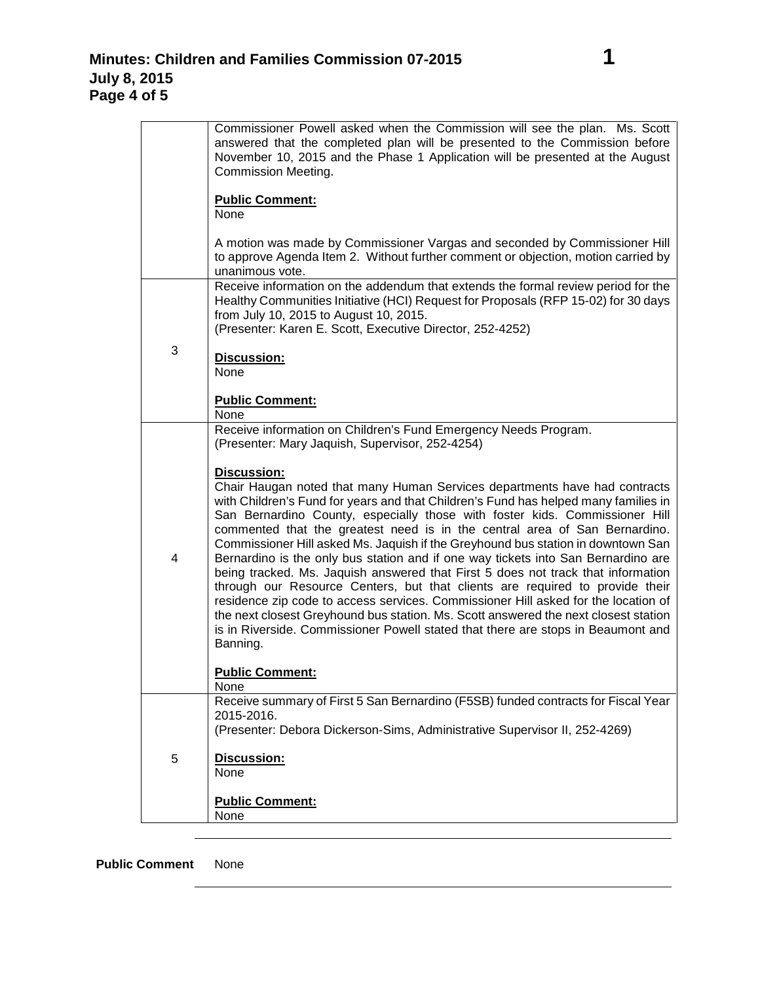|   | Commissioner Powell asked when the Commission will see the plan. Ms. Scott<br>answered that the completed plan will be presented to the Commission before<br>November 10, 2015 and the Phase 1 Application will be presented at the August<br><b>Commission Meeting.</b>                                                                                                                                                                                                                                                                                                                                                                                                                                                                                                                                                                                                                                                                                                       |
|---|--------------------------------------------------------------------------------------------------------------------------------------------------------------------------------------------------------------------------------------------------------------------------------------------------------------------------------------------------------------------------------------------------------------------------------------------------------------------------------------------------------------------------------------------------------------------------------------------------------------------------------------------------------------------------------------------------------------------------------------------------------------------------------------------------------------------------------------------------------------------------------------------------------------------------------------------------------------------------------|
|   | <b>Public Comment:</b><br>None                                                                                                                                                                                                                                                                                                                                                                                                                                                                                                                                                                                                                                                                                                                                                                                                                                                                                                                                                 |
|   | A motion was made by Commissioner Vargas and seconded by Commissioner Hill<br>to approve Agenda Item 2. Without further comment or objection, motion carried by<br>unanimous vote.                                                                                                                                                                                                                                                                                                                                                                                                                                                                                                                                                                                                                                                                                                                                                                                             |
|   | Receive information on the addendum that extends the formal review period for the<br>Healthy Communities Initiative (HCI) Request for Proposals (RFP 15-02) for 30 days<br>from July 10, 2015 to August 10, 2015.<br>(Presenter: Karen E. Scott, Executive Director, 252-4252)                                                                                                                                                                                                                                                                                                                                                                                                                                                                                                                                                                                                                                                                                                 |
| 3 | Discussion:<br><b>None</b>                                                                                                                                                                                                                                                                                                                                                                                                                                                                                                                                                                                                                                                                                                                                                                                                                                                                                                                                                     |
|   | <b>Public Comment:</b><br>None                                                                                                                                                                                                                                                                                                                                                                                                                                                                                                                                                                                                                                                                                                                                                                                                                                                                                                                                                 |
|   | Receive information on Children's Fund Emergency Needs Program.<br>(Presenter: Mary Jaquish, Supervisor, 252-4254)                                                                                                                                                                                                                                                                                                                                                                                                                                                                                                                                                                                                                                                                                                                                                                                                                                                             |
| 4 | <b>Discussion:</b><br>Chair Haugan noted that many Human Services departments have had contracts<br>with Children's Fund for years and that Children's Fund has helped many families in<br>San Bernardino County, especially those with foster kids. Commissioner Hill<br>commented that the greatest need is in the central area of San Bernardino.<br>Commissioner Hill asked Ms. Jaquish if the Greyhound bus station in downtown San<br>Bernardino is the only bus station and if one way tickets into San Bernardino are<br>being tracked. Ms. Jaquish answered that First 5 does not track that information<br>through our Resource Centers, but that clients are required to provide their<br>residence zip code to access services. Commissioner Hill asked for the location of<br>the next closest Greyhound bus station. Ms. Scott answered the next closest station<br>is in Riverside. Commissioner Powell stated that there are stops in Beaumont and<br>Banning. |
|   | <b>Public Comment:</b><br>None                                                                                                                                                                                                                                                                                                                                                                                                                                                                                                                                                                                                                                                                                                                                                                                                                                                                                                                                                 |
|   | Receive summary of First 5 San Bernardino (F5SB) funded contracts for Fiscal Year<br>2015-2016.<br>(Presenter: Debora Dickerson-Sims, Administrative Supervisor II, 252-4269)                                                                                                                                                                                                                                                                                                                                                                                                                                                                                                                                                                                                                                                                                                                                                                                                  |
| 5 | Discussion:<br>None                                                                                                                                                                                                                                                                                                                                                                                                                                                                                                                                                                                                                                                                                                                                                                                                                                                                                                                                                            |
|   | <b>Public Comment:</b><br>None                                                                                                                                                                                                                                                                                                                                                                                                                                                                                                                                                                                                                                                                                                                                                                                                                                                                                                                                                 |